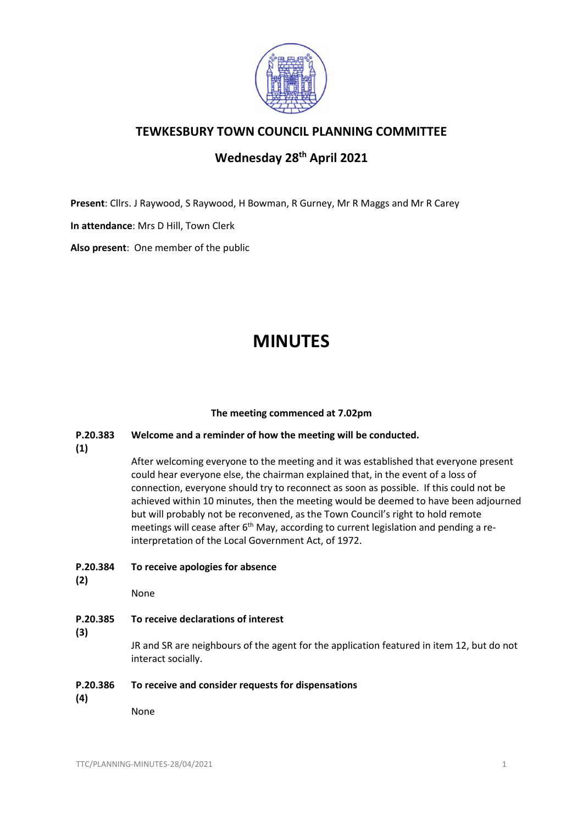

## **TEWKESBURY TOWN COUNCIL PLANNING COMMITTEE**

# **Wednesday 28th April 2021**

**Present**: Cllrs. J Raywood, S Raywood, H Bowman, R Gurney, Mr R Maggs and Mr R Carey

**In attendance**: Mrs D Hill, Town Clerk

**Also present**: One member of the public

# **MINUTES**

### **The meeting commenced at 7.02pm**

#### **P.20.383 Welcome and a reminder of how the meeting will be conducted.**

**(1)**

After welcoming everyone to the meeting and it was established that everyone present could hear everyone else, the chairman explained that, in the event of a loss of connection, everyone should try to reconnect as soon as possible. If this could not be achieved within 10 minutes, then the meeting would be deemed to have been adjourned but will probably not be reconvened, as the Town Council's right to hold remote meetings will cease after 6<sup>th</sup> May, according to current legislation and pending a reinterpretation of the Local Government Act, of 1972.

- **P.20.384 To receive apologies for absence**
- **(2)**

None

- **P.20.385 To receive declarations of interest**
- **(3)**

JR and SR are neighbours of the agent for the application featured in item 12, but do not interact socially.

#### **P.20.386 To receive and consider requests for dispensations**

**(4)**

None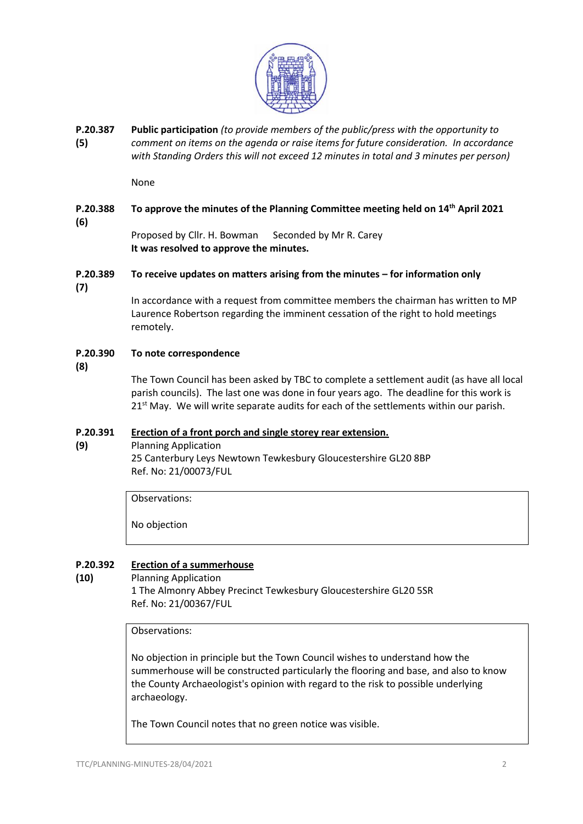

**P.20.387 (5) Public participation** *(to provide members of the public/press with the opportunity to comment on items on the agenda or raise items for future consideration. In accordance with Standing Orders this will not exceed 12 minutes in total and 3 minutes per person)*

None

#### **P.20.388 (6) To approve the minutes of the Planning Committee meeting held on 14th April 2021**

Proposed by Cllr. H. Bowman Seconded by Mr R. Carey **It was resolved to approve the minutes.**

#### **P.20.389 To receive updates on matters arising from the minutes – for information only**

**(7)**

In accordance with a request from committee members the chairman has written to MP Laurence Robertson regarding the imminent cessation of the right to hold meetings remotely.

#### **P.20.390 To note correspondence**

**(8)**

**(10)**

The Town Council has been asked by TBC to complete a settlement audit (as have all local parish councils). The last one was done in four years ago. The deadline for this work is  $21<sup>st</sup>$  May. We will write separate audits for each of the settlements within our parish.

#### **P.20.391 [Erection of a front porch and single storey rear extension.](https://publicaccess.tewkesbury.gov.uk/online-applications/applicationDetails.do?activeTab=summary&keyVal=QN4PF0QDLPP00&prevPage=inTray)**

**(9)** Planning Application

25 Canterbury Leys Newtown Tewkesbury Gloucestershire GL20 8BP Ref. No: 21/00073/FUL

Observations:

No objection

#### **P.20.392 [Erection of a summerhouse](https://publicaccess.tewkesbury.gov.uk/online-applications/applicationDetails.do?activeTab=summary&keyVal=QQ64C4QDMJK00&prevPage=inTray)**

Planning Application 1 The Almonry Abbey Precinct Tewkesbury Gloucestershire GL20 5SR Ref. No: 21/00367/FUL

Observations:

No objection in principle but the Town Council wishes to understand how the summerhouse will be constructed particularly the flooring and base, and also to know the County Archaeologist's opinion with regard to the risk to possible underlying archaeology.

The Town Council notes that no green notice was visible.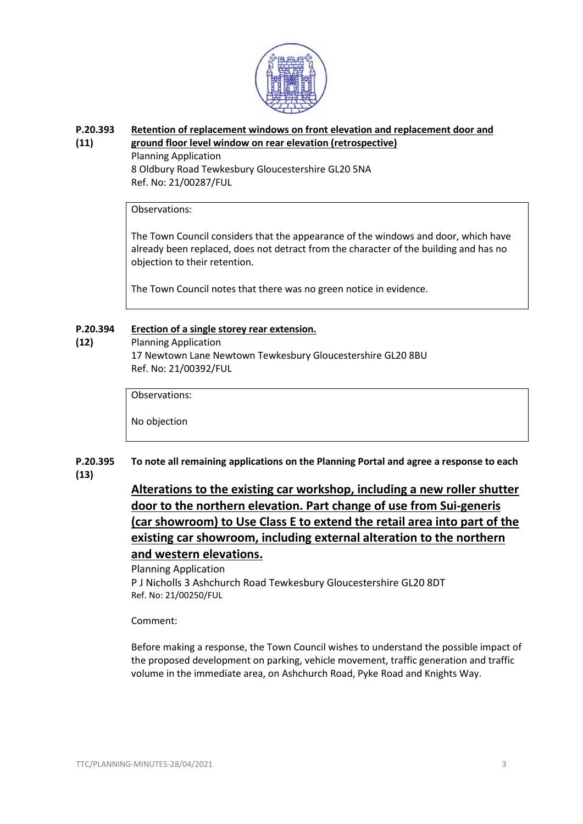

#### **P.20.393 [Retention of replacement windows on front elevation and replacement door and](https://publicaccess.tewkesbury.gov.uk/online-applications/applicationDetails.do?activeTab=summary&keyVal=QPCC20QDMBF00&prevPage=inTray)**

#### **(11) [ground floor level window on rear elevation \(retrospective\)](https://publicaccess.tewkesbury.gov.uk/online-applications/applicationDetails.do?activeTab=summary&keyVal=QPCC20QDMBF00&prevPage=inTray)** Planning Application

8 Oldbury Road Tewkesbury Gloucestershire GL20 5NA Ref. No: 21/00287/FUL

### Observations:

The Town Council considers that the appearance of the windows and door, which have already been replaced, does not detract from the character of the building and has no objection to their retention.

The Town Council notes that there was no green notice in evidence.

#### **P.20.394 [Erection of a single storey rear extension.](https://publicaccess.tewkesbury.gov.uk/online-applications/applicationDetails.do?activeTab=summary&keyVal=QQIPQLQD0IA00&prevPage=inTray)**

**(12)**

### Planning Application 17 Newtown Lane Newtown Tewkesbury Gloucestershire GL20 8BU Ref. No: 21/00392/FUL

Observations:

No objection

#### **P.20.395 (13) To note all remaining applications on the Planning Portal and agree a response to each**

# **[Alterations to the existing car workshop, including a new roller shutter](https://publicaccess.tewkesbury.gov.uk/online-applications/applicationDetails.do?activeTab=summary&keyVal=QOZGBHQDM7U00&prevPage=inTray)  [door to the northern elevation. Part change of use from Sui-generis](https://publicaccess.tewkesbury.gov.uk/online-applications/applicationDetails.do?activeTab=summary&keyVal=QOZGBHQDM7U00&prevPage=inTray)  [\(car showroom\) to Use Class E to extend the retail area into part of the](https://publicaccess.tewkesbury.gov.uk/online-applications/applicationDetails.do?activeTab=summary&keyVal=QOZGBHQDM7U00&prevPage=inTray)  [existing car showroom, including external alteration to the northern](https://publicaccess.tewkesbury.gov.uk/online-applications/applicationDetails.do?activeTab=summary&keyVal=QOZGBHQDM7U00&prevPage=inTray)  [and western elevations.](https://publicaccess.tewkesbury.gov.uk/online-applications/applicationDetails.do?activeTab=summary&keyVal=QOZGBHQDM7U00&prevPage=inTray)**

### Planning Application P J Nicholls 3 Ashchurch Road Tewkesbury Gloucestershire GL20 8DT Ref. No: 21/00250/FUL

### Comment:

Before making a response, the Town Council wishes to understand the possible impact of the proposed development on parking, vehicle movement, traffic generation and traffic volume in the immediate area, on Ashchurch Road, Pyke Road and Knights Way.